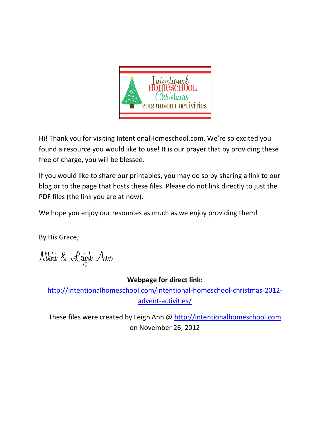

Hi! Thank you for visiting IntentionalHomeschool.com. We're so excited you found a resource you would like to use! It is our prayer that by providing these free of charge, you will be blessed.

If you would like to share our printables, you may do so by sharing a link to our blog or to the page that hosts these files. Please do not link directly to just the PDF files (the link you are at now).

We hope you enjoy our resources as much as we enjoy providing them!

By His Grace,

Nikki & Leigh Ann

## **Webpage for direct link:**

[http://intentionalhomeschool.com/intentional-homeschool-christmas-2012](http://intentionalhomeschool.com/intentional-homeschool-christmas-2012-advent-activities/) [advent-activities/](http://intentionalhomeschool.com/intentional-homeschool-christmas-2012-advent-activities/)

These files were created by Leigh Ann @ [http://intentionalhomeschool.com](http://intentionalhomeschool.com/) on November 26, 2012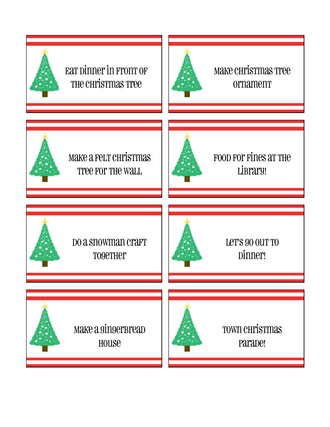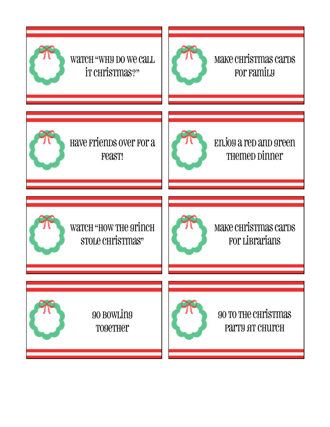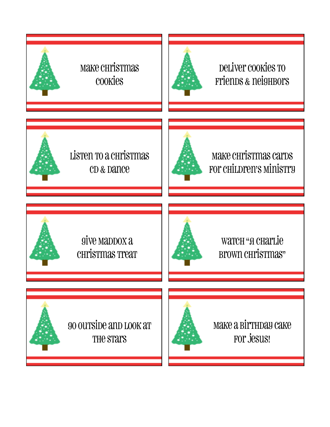